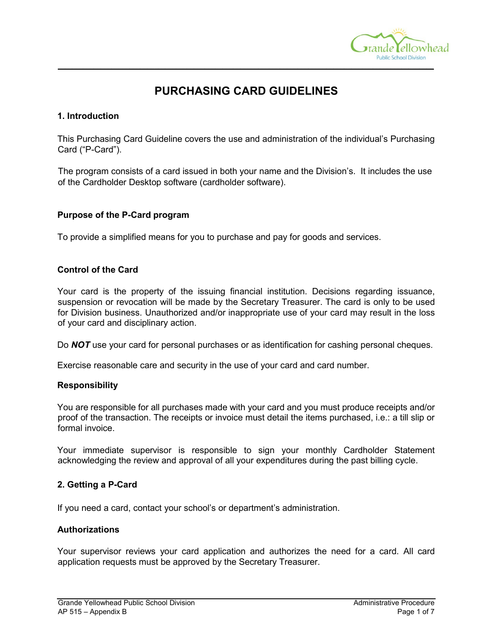

# **PURCHASING CARD GUIDELINES**

**\_\_\_\_\_\_\_\_\_\_\_\_\_\_\_\_\_\_\_\_\_\_\_\_\_\_\_\_\_\_\_\_\_\_\_\_\_\_\_\_\_\_\_\_\_\_\_\_\_\_\_\_\_\_\_\_\_\_\_\_\_\_\_\_\_\_\_\_\_\_\_\_\_\_\_\_\_\_\_\_\_\_\_\_\_\_\_\_\_\_\_\_\_\_\_\_\_\_\_\_\_\_\_\_\_** 

## **1. Introduction**

This Purchasing Card Guideline covers the use and administration of the individual's Purchasing Card ("P-Card").

The program consists of a card issued in both your name and the Division's. It includes the use of the Cardholder Desktop software (cardholder software).

## **Purpose of the P-Card program**

To provide a simplified means for you to purchase and pay for goods and services.

## **Control of the Card**

Your card is the property of the issuing financial institution. Decisions regarding issuance, suspension or revocation will be made by the Secretary Treasurer. The card is only to be used for Division business. Unauthorized and/or inappropriate use of your card may result in the loss of your card and disciplinary action.

Do **NOT** use your card for personal purchases or as identification for cashing personal cheques.

Exercise reasonable care and security in the use of your card and card number.

## **Responsibility**

You are responsible for all purchases made with your card and you must produce receipts and/or proof of the transaction. The receipts or invoice must detail the items purchased, i.e.: a till slip or formal invoice.

Your immediate supervisor is responsible to sign your monthly Cardholder Statement acknowledging the review and approval of all your expenditures during the past billing cycle.

## **2. Getting a P-Card**

If you need a card, contact your school's or department's administration.

## **Authorizations**

Your supervisor reviews your card application and authorizes the need for a card. All card application requests must be approved by the Secretary Treasurer.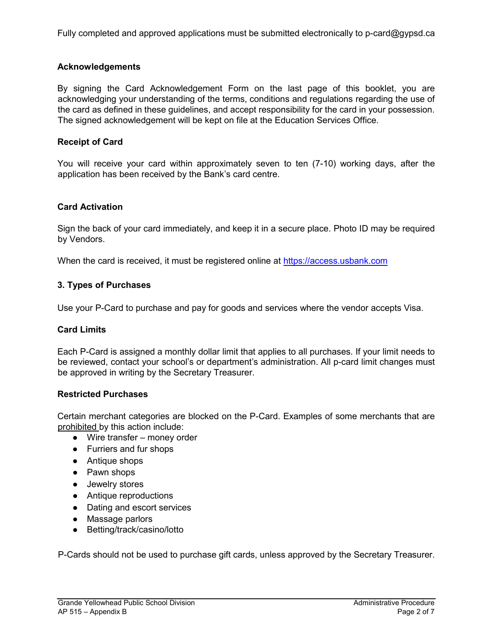Fully completed and approved applications must be submitted electronically to p-card@gypsd.ca

## **Acknowledgements**

By signing the Card Acknowledgement Form on the last page of this booklet, you are acknowledging your understanding of the terms, conditions and regulations regarding the use of the card as defined in these guidelines, and accept responsibility for the card in your possession. The signed acknowledgement will be kept on file at the Education Services Office.

## **Receipt of Card**

You will receive your card within approximately seven to ten (7-10) working days, after the application has been received by the Bank's card centre.

## **Card Activation**

Sign the back of your card immediately, and keep it in a secure place. Photo ID may be required by Vendors.

When the card is received, it must be registered online at [https://access.usbank.com](https://access.usbank.com/)

## **3. Types of Purchases**

Use your P-Card to purchase and pay for goods and services where the vendor accepts Visa.

## **Card Limits**

Each P-Card is assigned a monthly dollar limit that applies to all purchases. If your limit needs to be reviewed, contact your school's or department's administration. All p-card limit changes must be approved in writing by the Secretary Treasurer.

## **Restricted Purchases**

Certain merchant categories are blocked on the P-Card. Examples of some merchants that are prohibited by this action include:

- Wire transfer money order
- Furriers and fur shops
- Antique shops
- Pawn shops
- Jewelry stores
- Antique reproductions
- Dating and escort services
- Massage parlors
- Betting/track/casino/lotto

P-Cards should not be used to purchase gift cards, unless approved by the Secretary Treasurer.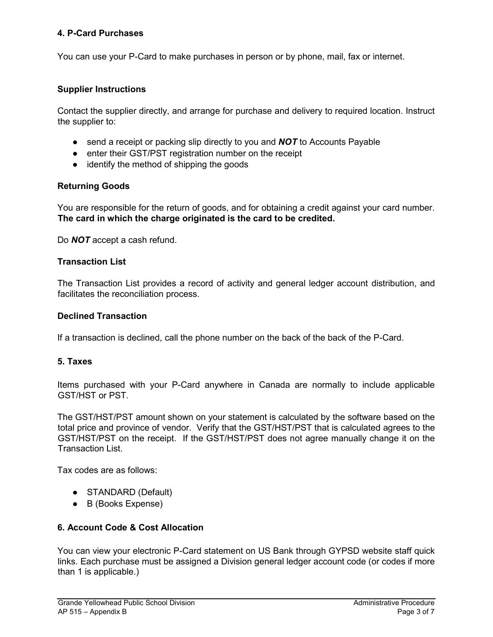## **4. P-Card Purchases**

You can use your P-Card to make purchases in person or by phone, mail, fax or internet.

## **Supplier Instructions**

Contact the supplier directly, and arrange for purchase and delivery to required location. Instruct the supplier to:

- send a receipt or packing slip directly to you and **NOT** to Accounts Payable
- enter their GST/PST registration number on the receipt
- identify the method of shipping the goods

## **Returning Goods**

You are responsible for the return of goods, and for obtaining a credit against your card number. **The card in which the charge originated is the card to be credited.**

Do *NOT* accept a cash refund.

## **Transaction List**

The Transaction List provides a record of activity and general ledger account distribution, and facilitates the reconciliation process.

#### **Declined Transaction**

If a transaction is declined, call the phone number on the back of the back of the P-Card.

## **5. Taxes**

Items purchased with your P-Card anywhere in Canada are normally to include applicable GST/HST or PST.

The GST/HST/PST amount shown on your statement is calculated by the software based on the total price and province of vendor. Verify that the GST/HST/PST that is calculated agrees to the GST/HST/PST on the receipt. If the GST/HST/PST does not agree manually change it on the Transaction List.

Tax codes are as follows:

- STANDARD (Default)
- B (Books Expense)

## **6. Account Code & Cost Allocation**

You can view your electronic P-Card statement on US Bank through GYPSD website staff quick links. Each purchase must be assigned a Division general ledger account code (or codes if more than 1 is applicable.)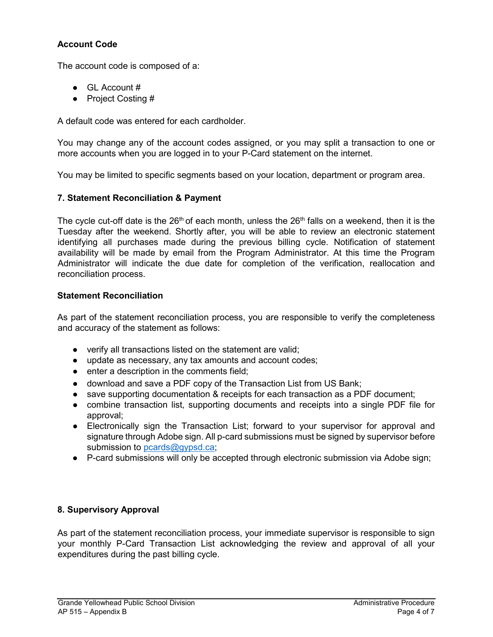# **Account Code**

The account code is composed of a:

- $\bullet$  GL Account #
- Project Costing #

A default code was entered for each cardholder.

You may change any of the account codes assigned, or you may split a transaction to one or more accounts when you are logged in to your P-Card statement on the internet.

You may be limited to specific segments based on your location, department or program area.

## **7. Statement Reconciliation & Payment**

The cycle cut-off date is the  $26<sup>th</sup>$  of each month, unless the  $26<sup>th</sup>$  falls on a weekend, then it is the Tuesday after the weekend. Shortly after, you will be able to review an electronic statement identifying all purchases made during the previous billing cycle. Notification of statement availability will be made by email from the Program Administrator. At this time the Program Administrator will indicate the due date for completion of the verification, reallocation and reconciliation process.

## **Statement Reconciliation**

As part of the statement reconciliation process, you are responsible to verify the completeness and accuracy of the statement as follows:

- verify all transactions listed on the statement are valid;
- update as necessary, any tax amounts and account codes;
- enter a description in the comments field;
- download and save a PDF copy of the Transaction List from US Bank;
- save supporting documentation & receipts for each transaction as a PDF document;
- combine transaction list, supporting documents and receipts into a single PDF file for approval;
- Electronically sign the Transaction List; forward to your supervisor for approval and signature through Adobe sign. All p-card submissions must be signed by supervisor before submission to [pcards@gypsd.ca;](mailto:pcards@gypsd.ca)
- P-card submissions will only be accepted through electronic submission via Adobe sign;

## **8. Supervisory Approval**

As part of the statement reconciliation process, your immediate supervisor is responsible to sign your monthly P-Card Transaction List acknowledging the review and approval of all your expenditures during the past billing cycle.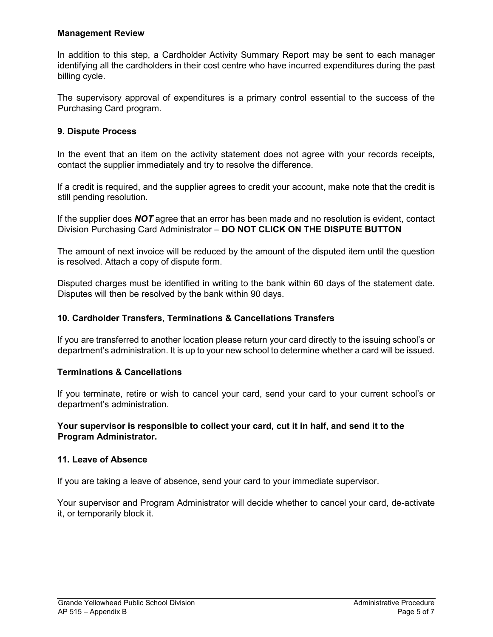## **Management Review**

In addition to this step, a Cardholder Activity Summary Report may be sent to each manager identifying all the cardholders in their cost centre who have incurred expenditures during the past billing cycle.

The supervisory approval of expenditures is a primary control essential to the success of the Purchasing Card program.

## **9. Dispute Process**

In the event that an item on the activity statement does not agree with your records receipts, contact the supplier immediately and try to resolve the difference.

If a credit is required, and the supplier agrees to credit your account, make note that the credit is still pending resolution.

If the supplier does *NOT* agree that an error has been made and no resolution is evident, contact Division Purchasing Card Administrator – **DO NOT CLICK ON THE DISPUTE BUTTON**

The amount of next invoice will be reduced by the amount of the disputed item until the question is resolved. Attach a copy of dispute form.

Disputed charges must be identified in writing to the bank within 60 days of the statement date. Disputes will then be resolved by the bank within 90 days.

## **10. Cardholder Transfers, Terminations & Cancellations Transfers**

If you are transferred to another location please return your card directly to the issuing school's or department's administration. It is up to your new school to determine whether a card will be issued.

## **Terminations & Cancellations**

If you terminate, retire or wish to cancel your card, send your card to your current school's or department's administration.

## **Your supervisor is responsible to collect your card, cut it in half, and send it to the Program Administrator.**

## **11. Leave of Absence**

If you are taking a leave of absence, send your card to your immediate supervisor.

Your supervisor and Program Administrator will decide whether to cancel your card, de-activate it, or temporarily block it.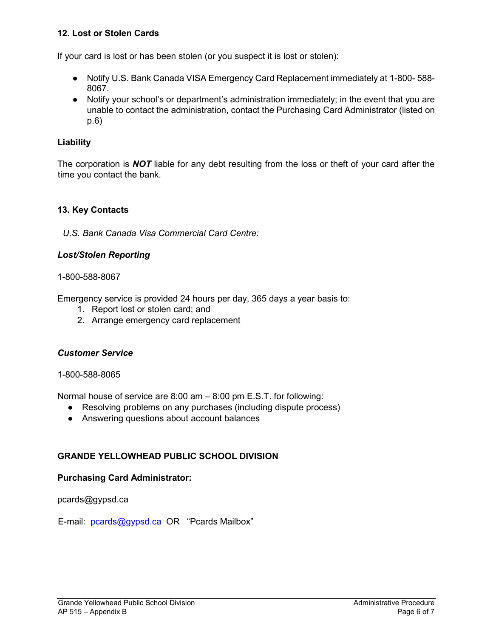# **12. Lost or Stolen Cards**

If your card is lost or has been stolen (or you suspect it is lost or stolen):

- Notify U.S. Bank Canada VISA Emergency Card Replacement immediately at 1-800-588-8067.
- Notify your school's or department's administration immediately; in the event that you are unable to contact the administration, contact the Purchasing Card Administrator (listed on p.6)

# **Liability**

The corporation is *NOT* liable for any debt resulting from the loss or theft of your card after the time you contact the bank.

# **13. Key Contacts**

*U.S. Bank Canada Visa Commercial Card Centre:*

# *Lost/Stolen Reporting*

## 1-800-588-8067

Emergency service is provided 24 hours per day, 365 days a year basis to:

- 1. Report lost or stolen card; and
- 2. Arrange emergency card replacement

# *Customer Service*

## 1-800-588-8065

Normal house of service are 8:00 am – 8:00 pm E.S.T. for following:

- Resolving problems on any purchases (including dispute process)
- Answering questions about account balances

# **GRANDE YELLOWHEAD PUBLIC SCHOOL DIVISION**

# **Purchasing Card Administrator:**

pcards@gypsd.ca

E-mail: pcards@gypsd.ca OR "Pcards Mailbox"